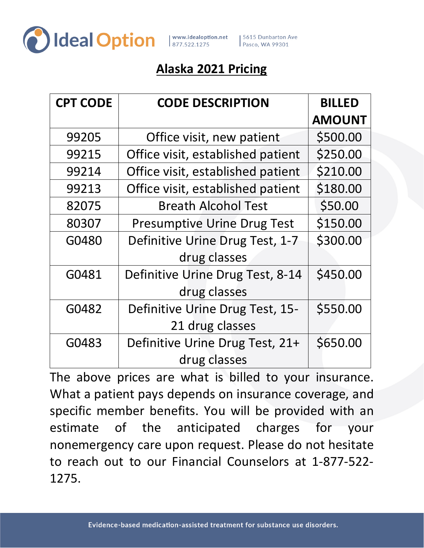

www.idealoption.net | 5615 Dunbarton Ave<br>| 877.522.1275 | Pasco, WA 99301

## **Alaska 2021 Pricing**

| <b>CPT CODE</b> | <b>CODE DESCRIPTION</b>            | <b>BILLED</b> |
|-----------------|------------------------------------|---------------|
|                 |                                    | <b>AMOUNT</b> |
| 99205           | Office visit, new patient          | \$500.00      |
| 99215           | Office visit, established patient  | \$250.00      |
| 99214           | Office visit, established patient  | \$210.00      |
| 99213           | Office visit, established patient  | \$180.00      |
| 82075           | <b>Breath Alcohol Test</b>         | \$50.00       |
| 80307           | <b>Presumptive Urine Drug Test</b> | \$150.00      |
| G0480           | Definitive Urine Drug Test, 1-7    | \$300.00      |
|                 | drug classes                       |               |
| G0481           | Definitive Urine Drug Test, 8-14   | \$450.00      |
|                 | drug classes                       |               |
| G0482           | Definitive Urine Drug Test, 15-    | \$550.00      |
|                 | 21 drug classes                    |               |
| G0483           | Definitive Urine Drug Test, 21+    | \$650.00      |
|                 | drug classes                       |               |

The above prices are what is billed to your insurance. What a patient pays depends on insurance coverage, and specific member benefits. You will be provided with an estimate of the anticipated charges for your nonemergency care upon request. Please do not hesitate to reach out to our Financial Counselors at 1-877-522- 1275.